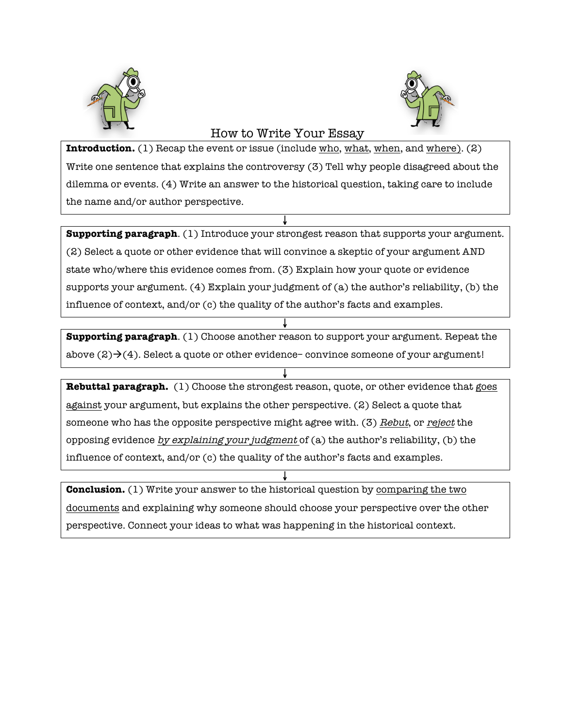



## How to Write Your Essay

**Introduction.** (1) Recap the event or issue (include who, what, when, and where). (2) Write one sentence that explains the controversy (3) Tell why people disagreed about the dilemma or events. (4) Write an answer to the historical question, taking care to include the name and/or author perspective.

**Supporting paragraph**. (1) Introduce your strongest reason that supports your argument. (2) Select a quote or other evidence that will convince a skeptic of your argument AND state who/where this evidence comes from. (3) Explain how your quote or evidence supports your argument. (4) Explain your judgment of (a) the author's reliability, (b) the influence of context, and/or (c) the quality of the author's facts and examples.

 $\downarrow$ 

**Supporting paragraph**. (1) Choose another reason to support your argument. Repeat the above  $(2) \rightarrow (4)$ . Select a quote or other evidence– convince someone of your argument!

 $\mathbf{\hat{r}}$ 

 $\downarrow$ **Rebuttal paragraph.** (1) Choose the strongest reason, quote, or other evidence that goes against your argument, but explains the other perspective. (2) Select a quote that someone who has the opposite perspective might agree with. (3) Rebut, or reject the opposing evidence by explaining your judgment of (a) the author's reliability, (b) the influence of context, and/or (c) the quality of the author's facts and examples.

 $\pmb{\downarrow}$ **Conclusion.** (1) Write your answer to the historical question by comparing the two documents and explaining why someone should choose your perspective over the other perspective. Connect your ideas to what was happening in the historical context.